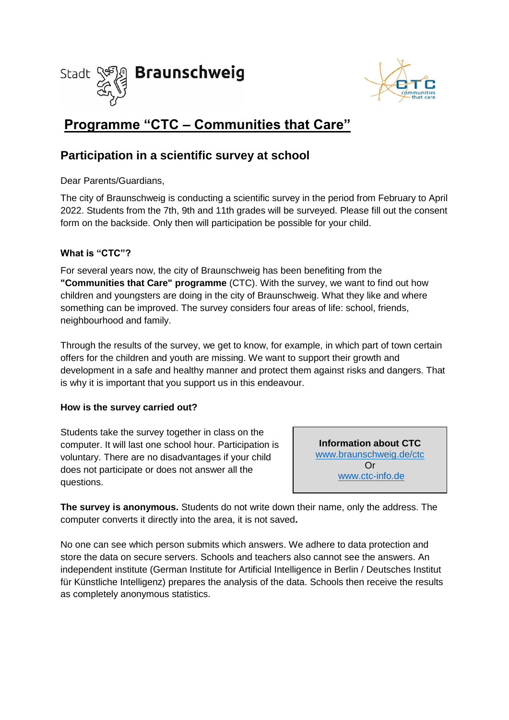



# **Programme "CTC – Communities that Care"**

## **Participation in a scientific survey at school**

Dear Parents/Guardians,

The city of Braunschweig is conducting a scientific survey in the period from February to April 2022. Students from the 7th, 9th and 11th grades will be surveyed. Please fill out the consent form on the backside. Only then will participation be possible for your child.

### **What is "CTC"?**

For several years now, the city of Braunschweig has been benefiting from the **"Communities that Care" programme** (CTC). With the survey, we want to find out how children and youngsters are doing in the city of Braunschweig. What they like and where something can be improved. The survey considers four areas of life: school, friends, neighbourhood and family.

Through the results of the survey, we get to know, for example, in which part of town certain offers for the children and youth are missing. We want to support their growth and development in a safe and healthy manner and protect them against risks and dangers. That is why it is important that you support us in this endeavour.

#### **How is the survey carried out?**

Students take the survey together in class on the computer. It will last one school hour. Participation is voluntary. There are no disadvantages if your child does not participate or does not answer all the questions.

**Information about CTC**  [www.braunschweig.de/ctc](http://www.braunschweig.de/ctc) Or [www.ctc-info.de](http://www.ctc-info.de/)

**The survey is anonymous.** Students do not write down their name, only the address. The computer converts it directly into the area, it is not saved**.**

No one can see which person submits which answers. We adhere to data protection and store the data on secure servers. Schools and teachers also cannot see the answers. An independent institute (German Institute for Artificial Intelligence in Berlin / Deutsches Institut für Künstliche Intelligenz) prepares the analysis of the data. Schools then receive the results as completely anonymous statistics.